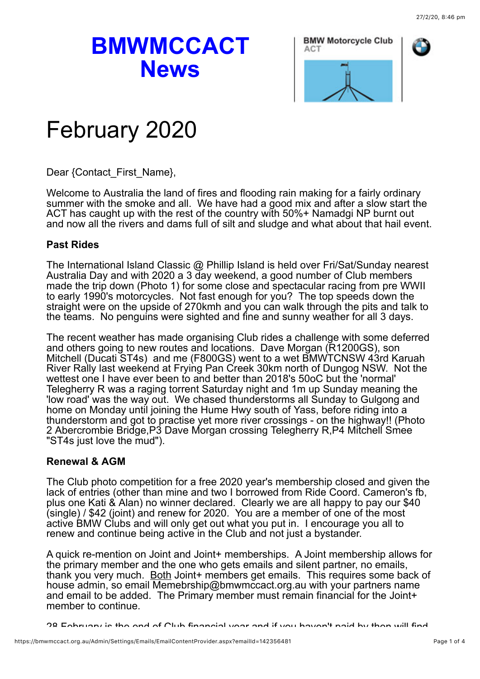## **BMWMCCACT News**



# February 2020

Dear {Contact\_First\_Name},

Welcome to Australia the land of fires and flooding rain making for a fairly ordinary summer with the smoke and all. We have had a good mix and after a slow start the ACT has caught up with the rest of the country with 50%+ Namadgi NP burnt out and now all the rivers and dams full of silt and sludge and what about that hail event.

### **Past Rides**

The International Island Classic @ Phillip Island is held over Fri/Sat/Sunday nearest Australia Day and with 2020 a 3 day weekend, a good number of Club members made the trip down (Photo 1) for some close and spectacular racing from pre WWII to early 1990's motorcycles. Not fast enough for you? The top speeds down the straight were on the upside of 270kmh and you can walk through the pits and talk to the teams. No penguins were sighted and fine and sunny weather for all 3 days.

The recent weather has made organising Club rides a challenge with some deferred and others going to new routes and locations. Dave Morgan (R1200GS), son Mitchell (Ducati ST4s) and me (F800GS) went to a wet BMWTCNSW 43rd Karuah River Rally last weekend at Frying Pan Creek 30km north of Dungog NSW. Not the wettest one I have ever been to and better than 2018's 50oC but the 'normal' Telegherry R was a raging torrent Saturday night and 1m up Sunday meaning the 'low road' was the way out. We chased thunderstorms all Sunday to Gulgong and home on Monday until joining the Hume Hwy south of Yass, before riding into a thunderstorm and got to practise yet more river crossings - on the highway!! (Photo 2 Abercrombie Bridge,P3 Dave Morgan crossing Telegherry R,P4 Mitchell Smee "ST4s just love the mud").

### **Renewal & AGM**

The Club photo competition for a free 2020 year's membership closed and given the lack of entries (other than mine and two I borrowed from Ride Coord. Cameron's fb, plus one Kati & Alan) no winner declared. Clearly we are all happy to pay our \$40 (single) / \$42 (joint) and renew for 2020. You are a member of one of the most active BMW Clubs and will only get out what you put in. I encourage you all to renew and continue being active in the Club and not just a bystander.

A quick re-mention on Joint and Joint+ memberships. A Joint membership allows for the primary member and the one who gets emails and silent partner, no emails, thank you very much. Both Joint+ members get emails. This requires some back of house admin, so email Memebrship@bmwmccact.org.au with your partners name and email to be added. The Primary member must remain financial for the Joint+ member to continue.

28 February is the end of Club financial year and if you haven't paid by then will find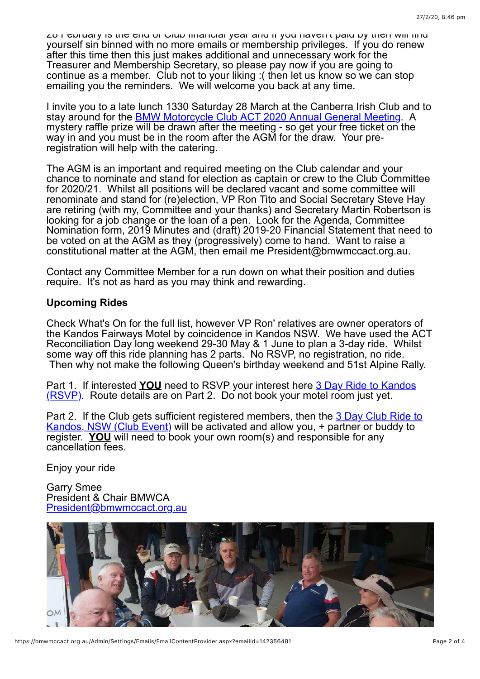28 February is the end of Club financial year and if you haven't paid by then will find yourself sin binned with no more emails or membership privileges. If you do renew after this time then this just makes additional and unnecessary work for the Treasurer and Membership Secretary, so please pay now if you are going to continue as a member. Club not to your liking :( then let us know so we can stop emailing you the reminders. We will welcome you back at any time.

I invite you to a late lunch 1330 Saturday 28 March at the Canberra Irish Club and to stay around for the **[BMW Motorcycle Club ACT 2020 Annual General Meeting](https://bmwmccact.org.au/event-3435537).** A mystery raffle prize will be drawn after the meeting - so get your free ticket on the way in and you must be in the room after the AGM for the draw. Your preregistration will help with the catering.

The AGM is an important and required meeting on the Club calendar and your chance to nominate and stand for election as captain or crew to the Club Committee for 2020/21. Whilst all positions will be declared vacant and some committee will renominate and stand for (re)election, VP Ron Tito and Social Secretary Steve Hay are retiring (with my, Committee and your thanks) and Secretary Martin Robertson is looking for a job change or the loan of a pen. Look for the Agenda, Committee Nomination form, 2019 Minutes and (draft) 2019-20 Financial Statement that need to be voted on at the AGM as they (progressively) come to hand. Want to raise a constitutional matter at the AGM, then email me President@bmwmccact.org.au.

Contact any Committee Member for a run down on what their position and duties require. It's not as hard as you may think and rewarding.

#### **Upcoming Rides**

Check What's On for the full list, however VP Ron' relatives are owner operators of the Kandos Fairways Motel by coincidence in Kandos NSW. We have used the ACT Reconciliation Day long weekend 29-30 May & 1 June to plan a 3-day ride. Whilst some way off this ride planning has 2 parts. No RSVP, no registration, no ride. Then why not make the following Queen's birthday weekend and 51st Alpine Rally.

Part 1. If interested **YOU** need to RSVP your interest here 3 Day Ride to Kandos [\(RSVP\). Route details are on Part 2. Do not book your motel room just yet.](https://bmwmccact.org.au/event-3435525)

[Part 2. If the Club gets sufficient registered members, then the 3 Day Club Ride to](https://bmwmccact.org.au/event-3751609) Kandos, NSW (Club Event) will be activated and allow you, + partner or buddy to register. **YOU** will need to book your own room(s) and responsible for any cancellation fees.

Enjoy your ride

Garry Smee President & Chair BMWCA [President@bmwmccact.org.au](mailto:President@bmwmccact.org.au)

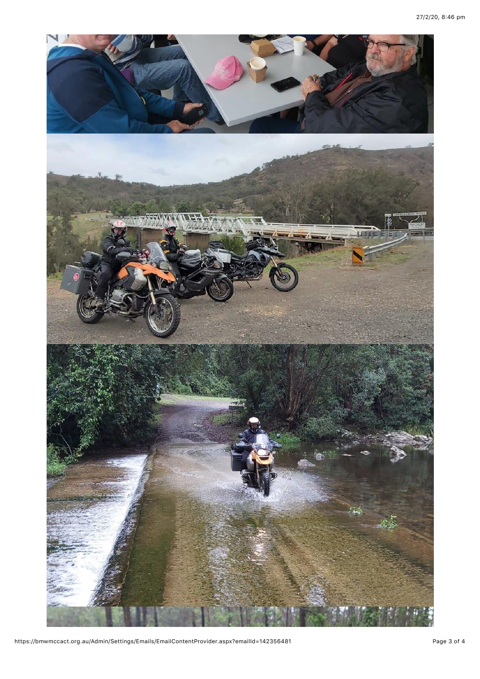

https://bmwmccact.org.au/Admin/Settings/Emails/EmailContentProvider.aspx?emailId=142356481 Page 3 of 4